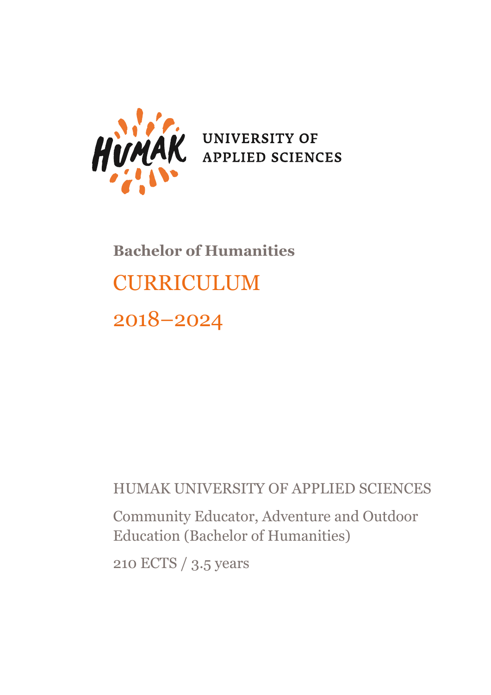

# **Bachelor of Humanities** CURRICULUM 2018–2024

# HUMAK UNIVERSITY OF APPLIED SCIENCES

Community Educator, Adventure and Outdoor Education (Bachelor of Humanities)

210 ECTS / 3.5 years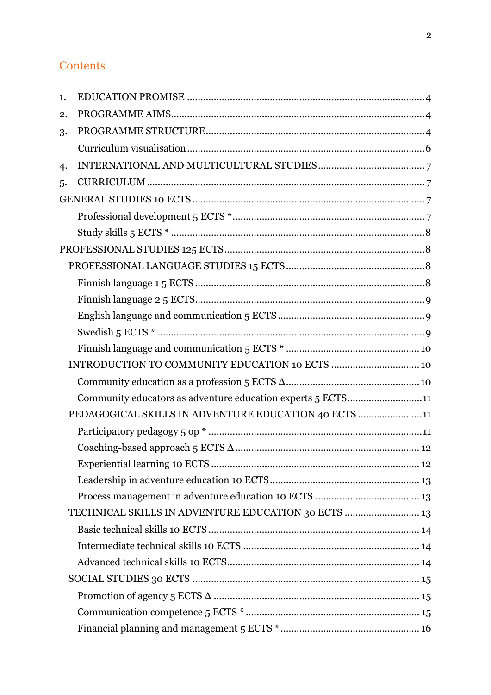| 1. |                                                             |  |
|----|-------------------------------------------------------------|--|
| 2. |                                                             |  |
| 3. |                                                             |  |
|    |                                                             |  |
| 4. |                                                             |  |
| 5. |                                                             |  |
|    |                                                             |  |
|    |                                                             |  |
|    |                                                             |  |
|    |                                                             |  |
|    |                                                             |  |
|    |                                                             |  |
|    |                                                             |  |
|    |                                                             |  |
|    |                                                             |  |
|    |                                                             |  |
|    |                                                             |  |
|    |                                                             |  |
|    | Community educators as adventure education experts 5 ECTS11 |  |
|    | PEDAGOGICAL SKILLS IN ADVENTURE EDUCATION 40 ECTS 11        |  |
|    |                                                             |  |
|    |                                                             |  |
|    |                                                             |  |
|    |                                                             |  |
|    |                                                             |  |
|    | TECHNICAL SKILLS IN ADVENTURE EDUCATION 30 ECTS  13         |  |
|    |                                                             |  |
|    |                                                             |  |
|    |                                                             |  |
|    |                                                             |  |
|    |                                                             |  |
|    |                                                             |  |
|    |                                                             |  |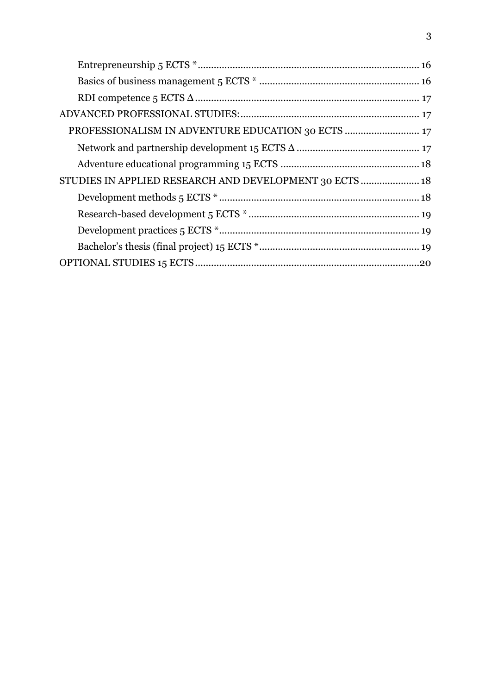| PROFESSIONALISM IN ADVENTURE EDUCATION 30 ECTS  17      |  |
|---------------------------------------------------------|--|
|                                                         |  |
|                                                         |  |
| STUDIES IN APPLIED RESEARCH AND DEVELOPMENT 30 ECTS  18 |  |
|                                                         |  |
|                                                         |  |
|                                                         |  |
|                                                         |  |
|                                                         |  |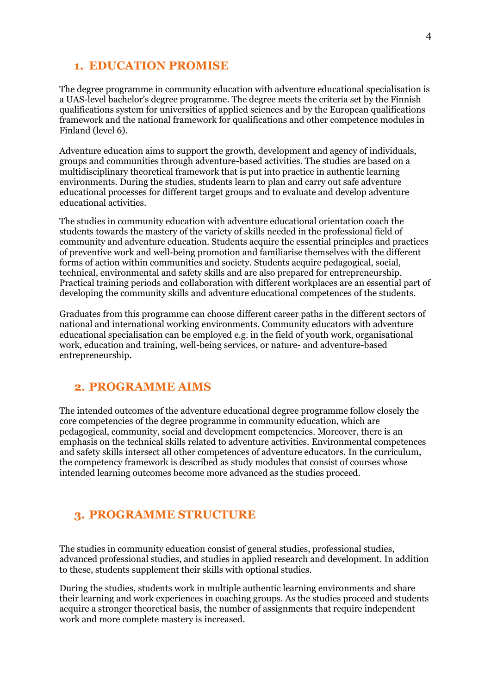# <span id="page-3-0"></span>**1. EDUCATION PROMISE**

The degree programme in community education with adventure educational specialisation is a UAS-level bachelor's degree programme. The degree meets the criteria set by the Finnish qualifications system for universities of applied sciences and by the European qualifications framework and the national framework for qualifications and other competence modules in Finland (level 6).

Adventure education aims to support the growth, development and agency of individuals, groups and communities through adventure-based activities. The studies are based on a multidisciplinary theoretical framework that is put into practice in authentic learning environments. During the studies, students learn to plan and carry out safe adventure educational processes for different target groups and to evaluate and develop adventure educational activities.

The studies in community education with adventure educational orientation coach the students towards the mastery of the variety of skills needed in the professional field of community and adventure education. Students acquire the essential principles and practices of preventive work and well-being promotion and familiarise themselves with the different forms of action within communities and society. Students acquire pedagogical, social, technical, environmental and safety skills and are also prepared for entrepreneurship. Practical training periods and collaboration with different workplaces are an essential part of developing the community skills and adventure educational competences of the students.

Graduates from this programme can choose different career paths in the different sectors of national and international working environments. Community educators with adventure educational specialisation can be employed e.g. in the field of youth work, organisational work, education and training, well-being services, or nature- and adventure-based entrepreneurship.

# <span id="page-3-1"></span>**2. PROGRAMME AIMS**

The intended outcomes of the adventure educational degree programme follow closely the core competencies of the degree programme in community education, which are pedagogical, community, social and development competencies. Moreover, there is an emphasis on the technical skills related to adventure activities. Environmental competences and safety skills intersect all other competences of adventure educators. In the curriculum, the competency framework is described as study modules that consist of courses whose intended learning outcomes become more advanced as the studies proceed.

# <span id="page-3-2"></span>**3. PROGRAMME STRUCTURE**

The studies in community education consist of general studies, professional studies, advanced professional studies, and studies in applied research and development. In addition to these, students supplement their skills with optional studies.

During the studies, students work in multiple authentic learning environments and share their learning and work experiences in coaching groups. As the studies proceed and students acquire a stronger theoretical basis, the number of assignments that require independent work and more complete mastery is increased.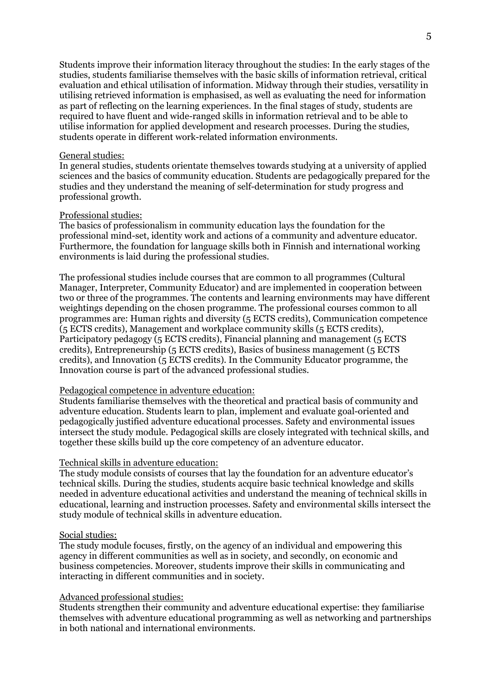Students improve their information literacy throughout the studies: In the early stages of the studies, students familiarise themselves with the basic skills of information retrieval, critical evaluation and ethical utilisation of information. Midway through their studies, versatility in utilising retrieved information is emphasised, as well as evaluating the need for information as part of reflecting on the learning experiences. In the final stages of study, students are required to have fluent and wide-ranged skills in information retrieval and to be able to utilise information for applied development and research processes. During the studies, students operate in different work-related information environments.

#### General studies:

In general studies, students orientate themselves towards studying at a university of applied sciences and the basics of community education. Students are pedagogically prepared for the studies and they understand the meaning of self-determination for study progress and professional growth.

#### Professional studies:

The basics of professionalism in community education lays the foundation for the professional mind-set, identity work and actions of a community and adventure educator. Furthermore, the foundation for language skills both in Finnish and international working environments is laid during the professional studies.

The professional studies include courses that are common to all programmes (Cultural Manager, Interpreter, Community Educator) and are implemented in cooperation between two or three of the programmes. The contents and learning environments may have different weightings depending on the chosen programme. The professional courses common to all programmes are: Human rights and diversity (5 ECTS credits), Communication competence (5 ECTS credits), Management and workplace community skills (5 ECTS credits), Participatory pedagogy (5 ECTS credits), Financial planning and management (5 ECTS credits), Entrepreneurship (5 ECTS credits), Basics of business management (5 ECTS credits), and Innovation (5 ECTS credits). In the Community Educator programme, the Innovation course is part of the advanced professional studies.

### Pedagogical competence in adventure education:

Students familiarise themselves with the theoretical and practical basis of community and adventure education. Students learn to plan, implement and evaluate goal-oriented and pedagogically justified adventure educational processes. Safety and environmental issues intersect the study module. Pedagogical skills are closely integrated with technical skills, and together these skills build up the core competency of an adventure educator.

#### Technical skills in adventure education:

The study module consists of courses that lay the foundation for an adventure educator's technical skills. During the studies, students acquire basic technical knowledge and skills needed in adventure educational activities and understand the meaning of technical skills in educational, learning and instruction processes. Safety and environmental skills intersect the study module of technical skills in adventure education.

#### Social studies:

The study module focuses, firstly, on the agency of an individual and empowering this agency in different communities as well as in society, and secondly, on economic and business competencies. Moreover, students improve their skills in communicating and interacting in different communities and in society.

#### Advanced professional studies:

Students strengthen their community and adventure educational expertise: they familiarise themselves with adventure educational programming as well as networking and partnerships in both national and international environments.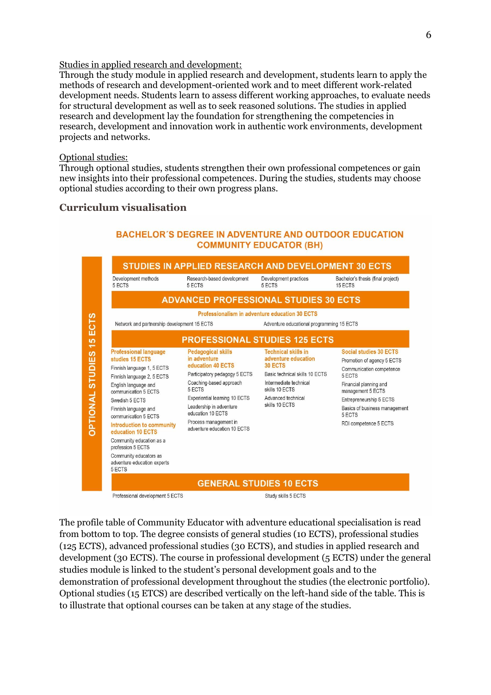#### Studies in applied research and development:

Through the study module in applied research and development, students learn to apply the methods of research and development-oriented work and to meet different work-related development needs. Students learn to assess different working approaches, to evaluate needs for structural development as well as to seek reasoned solutions. The studies in applied research and development lay the foundation for strengthening the competencies in research, development and innovation work in authentic work environments, development projects and networks.

#### Optional studies:

Through optional studies, students strengthen their own professional competences or gain new insights into their professional competences. During the studies, students may choose optional studies according to their own progress plans.

# <span id="page-5-0"></span>**Curriculum visualisation**



# **BACHELOR'S DEGREE IN ADVENTURE AND OUTDOOR EDUCATION COMMUNITY EDUCATOR (BH)**

The profile table of Community Educator with adventure educational specialisation is read from bottom to top. The degree consists of general studies (10 ECTS), professional studies (125 ECTS), advanced professional studies (30 ECTS), and studies in applied research and development (30 ECTS). The course in professional development (5 ECTS) under the general studies module is linked to the student's personal development goals and to the demonstration of professional development throughout the studies (the electronic portfolio). Optional studies (15 ETCS) are described vertically on the left-hand side of the table. This is to illustrate that optional courses can be taken at any stage of the studies.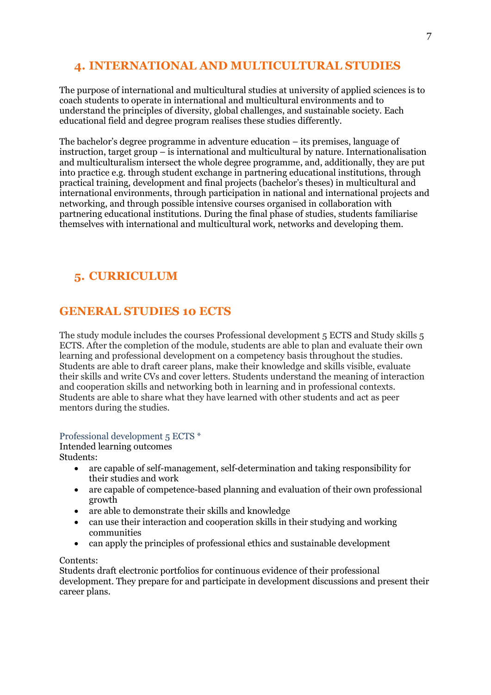# <span id="page-6-0"></span>**4. INTERNATIONAL AND MULTICULTURAL STUDIES**

The purpose of international and multicultural studies at university of applied sciences is to coach students to operate in international and multicultural environments and to understand the principles of diversity, global challenges, and sustainable society. Each educational field and degree program realises these studies differently.

The bachelor's degree programme in adventure education – its premises, language of instruction, target group – is international and multicultural by nature. Internationalisation and multiculturalism intersect the whole degree programme, and, additionally, they are put into practice e.g. through student exchange in partnering educational institutions, through practical training, development and final projects (bachelor's theses) in multicultural and international environments, through participation in national and international projects and networking, and through possible intensive courses organised in collaboration with partnering educational institutions. During the final phase of studies, students familiarise themselves with international and multicultural work, networks and developing them.

# <span id="page-6-1"></span>**5. CURRICULUM**

# <span id="page-6-2"></span>**GENERAL STUDIES 10 ECTS**

The study module includes the courses Professional development 5 ECTS and Study skills 5 ECTS. After the completion of the module, students are able to plan and evaluate their own learning and professional development on a competency basis throughout the studies. Students are able to draft career plans, make their knowledge and skills visible, evaluate their skills and write CVs and cover letters. Students understand the meaning of interaction and cooperation skills and networking both in learning and in professional contexts. Students are able to share what they have learned with other students and act as peer mentors during the studies.

# <span id="page-6-3"></span>Professional development 5 ECTS \*

Intended learning outcomes

Students:

- are capable of self-management, self-determination and taking responsibility for their studies and work
- are capable of competence-based planning and evaluation of their own professional growth
- are able to demonstrate their skills and knowledge
- can use their interaction and cooperation skills in their studying and working communities
- can apply the principles of professional ethics and sustainable development

# Contents:

Students draft electronic portfolios for continuous evidence of their professional development. They prepare for and participate in development discussions and present their career plans.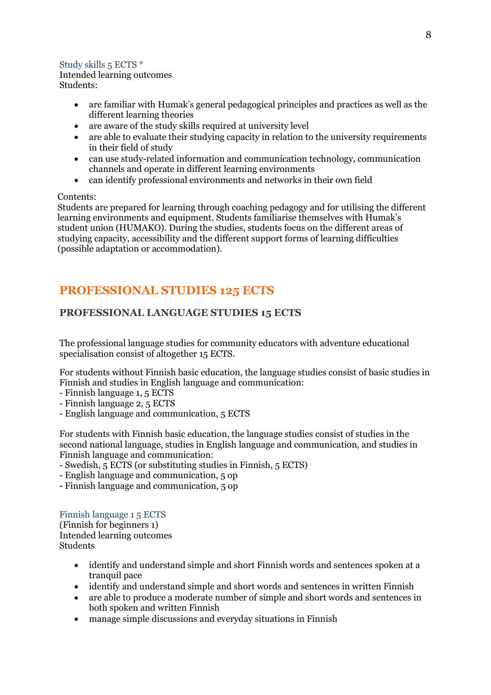# <span id="page-7-0"></span>Study skills 5 ECTS \*

Intended learning outcomes Students:

- are familiar with Humak's general pedagogical principles and practices as well as the different learning theories
- are aware of the study skills required at university level
- are able to evaluate their studying capacity in relation to the university requirements in their field of study
- can use study-related information and communication technology, communication channels and operate in different learning environments
- can identify professional environments and networks in their own field

# Contents:

Students are prepared for learning through coaching pedagogy and for utilising the different learning environments and equipment. Students familiarise themselves with Humak's student union (HUMAKO). During the studies, students focus on the different areas of studying capacity, accessibility and the different support forms of learning difficulties (possible adaptation or accommodation).

# <span id="page-7-1"></span>**PROFESSIONAL STUDIES 125 ECTS**

# <span id="page-7-2"></span>**PROFESSIONAL LANGUAGE STUDIES 15 ECTS**

The professional language studies for community educators with adventure educational specialisation consist of altogether 15 ECTS.

For students without Finnish basic education, the language studies consist of basic studies in Finnish and studies in English language and communication:

- Finnish language 1, 5 ECTS
- Finnish language 2, 5 ECTS
- English language and communication, 5 ECTS

For students with Finnish basic education, the language studies consist of studies in the second national language, studies in English language and communication, and studies in Finnish language and communication:

- Swedish, 5 ECTS (or substituting studies in Finnish, 5 ECTS)
- English language and communication, 5 op
- Finnish language and communication, 5 op

# <span id="page-7-3"></span>Finnish language 1 5 ECTS

(Finnish for beginners 1) Intended learning outcomes Students

- identify and understand simple and short Finnish words and sentences spoken at a tranquil pace
- identify and understand simple and short words and sentences in written Finnish
- are able to produce a moderate number of simple and short words and sentences in both spoken and written Finnish
- manage simple discussions and everyday situations in Finnish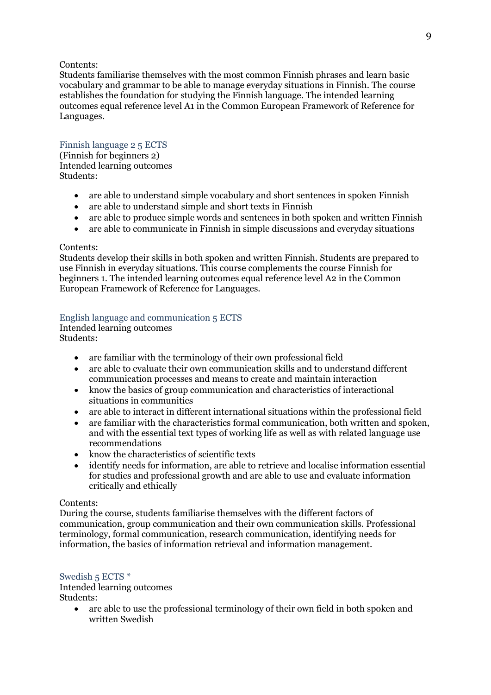Students familiarise themselves with the most common Finnish phrases and learn basic vocabulary and grammar to be able to manage everyday situations in Finnish. The course establishes the foundation for studying the Finnish language. The intended learning outcomes equal reference level A1 in the Common European Framework of Reference for Languages.

# <span id="page-8-0"></span>Finnish language 2 5 ECTS (Finnish for beginners 2)

Intended learning outcomes Students:

- are able to understand simple vocabulary and short sentences in spoken Finnish
- are able to understand simple and short texts in Finnish
- are able to produce simple words and sentences in both spoken and written Finnish
- are able to communicate in Finnish in simple discussions and everyday situations

# Contents:

Students develop their skills in both spoken and written Finnish. Students are prepared to use Finnish in everyday situations. This course complements the course Finnish for beginners 1. The intended learning outcomes equal reference level A2 in the Common European Framework of Reference for Languages.

# <span id="page-8-1"></span>English language and communication 5 ECTS

Intended learning outcomes Students:

- are familiar with the terminology of their own professional field
- are able to evaluate their own communication skills and to understand different communication processes and means to create and maintain interaction
- know the basics of group communication and characteristics of interactional situations in communities
- are able to interact in different international situations within the professional field
- are familiar with the characteristics formal communication, both written and spoken, and with the essential text types of working life as well as with related language use recommendations
- know the characteristics of scientific texts
- identify needs for information, are able to retrieve and localise information essential for studies and professional growth and are able to use and evaluate information critically and ethically

# Contents:

During the course, students familiarise themselves with the different factors of communication, group communication and their own communication skills. Professional terminology, formal communication, research communication, identifying needs for information, the basics of information retrieval and information management.

# <span id="page-8-2"></span>Swedish 5 ECTS  $*$

Intended learning outcomes Students:

> • are able to use the professional terminology of their own field in both spoken and written Swedish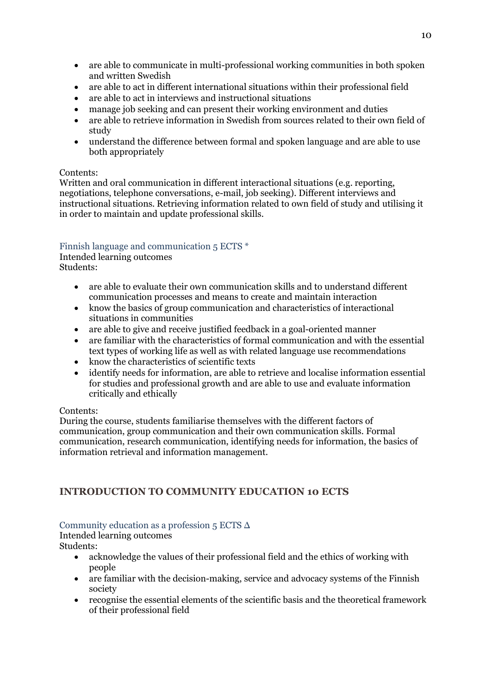- are able to communicate in multi-professional working communities in both spoken and written Swedish
- are able to act in different international situations within their professional field
- are able to act in interviews and instructional situations
- manage job seeking and can present their working environment and duties
- are able to retrieve information in Swedish from sources related to their own field of study
- understand the difference between formal and spoken language and are able to use both appropriately

Written and oral communication in different interactional situations (e.g. reporting, negotiations, telephone conversations, e-mail, job seeking). Different interviews and instructional situations. Retrieving information related to own field of study and utilising it in order to maintain and update professional skills.

# <span id="page-9-0"></span>Finnish language and communication 5 ECTS \*

Intended learning outcomes

Students:

- are able to evaluate their own communication skills and to understand different communication processes and means to create and maintain interaction
- know the basics of group communication and characteristics of interactional situations in communities
- are able to give and receive justified feedback in a goal-oriented manner
- are familiar with the characteristics of formal communication and with the essential text types of working life as well as with related language use recommendations
- know the characteristics of scientific texts
- identify needs for information, are able to retrieve and localise information essential for studies and professional growth and are able to use and evaluate information critically and ethically

# Contents:

During the course, students familiarise themselves with the different factors of communication, group communication and their own communication skills. Formal communication, research communication, identifying needs for information, the basics of information retrieval and information management.

# <span id="page-9-1"></span>**INTRODUCTION TO COMMUNITY EDUCATION 10 ECTS**

# <span id="page-9-2"></span>Community education as a profession  $5$  ECTS  $\Delta$

Intended learning outcomes Students:

- acknowledge the values of their professional field and the ethics of working with people
- are familiar with the decision-making, service and advocacy systems of the Finnish society
- recognise the essential elements of the scientific basis and the theoretical framework of their professional field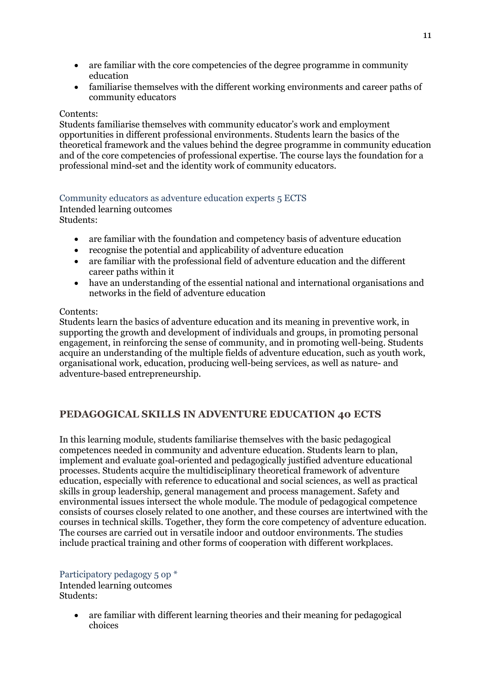- are familiar with the core competencies of the degree programme in community education
- familiarise themselves with the different working environments and career paths of community educators

Students familiarise themselves with community educator's work and employment opportunities in different professional environments. Students learn the basics of the theoretical framework and the values behind the degree programme in community education and of the core competencies of professional expertise. The course lays the foundation for a professional mind-set and the identity work of community educators.

# <span id="page-10-0"></span>Community educators as adventure education experts 5 ECTS

Intended learning outcomes Students:

- are familiar with the foundation and competency basis of adventure education
- recognise the potential and applicability of adventure education
- are familiar with the professional field of adventure education and the different career paths within it
- have an understanding of the essential national and international organisations and networks in the field of adventure education

#### Contents:

Students learn the basics of adventure education and its meaning in preventive work, in supporting the growth and development of individuals and groups, in promoting personal engagement, in reinforcing the sense of community, and in promoting well-being. Students acquire an understanding of the multiple fields of adventure education, such as youth work, organisational work, education, producing well-being services, as well as nature- and adventure-based entrepreneurship.

# <span id="page-10-1"></span>**PEDAGOGICAL SKILLS IN ADVENTURE EDUCATION 40 ECTS**

In this learning module, students familiarise themselves with the basic pedagogical competences needed in community and adventure education. Students learn to plan, implement and evaluate goal-oriented and pedagogically justified adventure educational processes. Students acquire the multidisciplinary theoretical framework of adventure education, especially with reference to educational and social sciences, as well as practical skills in group leadership, general management and process management. Safety and environmental issues intersect the whole module. The module of pedagogical competence consists of courses closely related to one another, and these courses are intertwined with the courses in technical skills. Together, they form the core competency of adventure education. The courses are carried out in versatile indoor and outdoor environments. The studies include practical training and other forms of cooperation with different workplaces.

<span id="page-10-2"></span>Participatory pedagogy 5 op \* Intended learning outcomes Students:

> are familiar with different learning theories and their meaning for pedagogical choices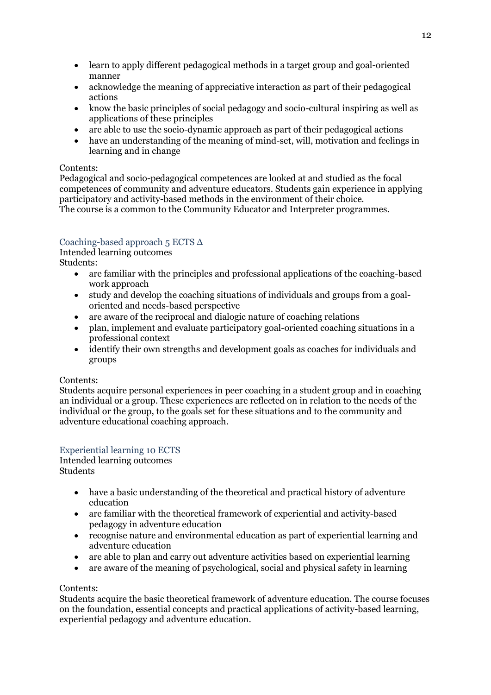- learn to apply different pedagogical methods in a target group and goal-oriented manner
- acknowledge the meaning of appreciative interaction as part of their pedagogical actions
- know the basic principles of social pedagogy and socio-cultural inspiring as well as applications of these principles
- are able to use the socio-dynamic approach as part of their pedagogical actions
- have an understanding of the meaning of mind-set, will, motivation and feelings in learning and in change

Pedagogical and socio-pedagogical competences are looked at and studied as the focal competences of community and adventure educators. Students gain experience in applying participatory and activity-based methods in the environment of their choice. The course is a common to the Community Educator and Interpreter programmes.

# <span id="page-11-0"></span>Coaching-based approach 5 ECTS Δ

Intended learning outcomes Students:

- are familiar with the principles and professional applications of the coaching-based work approach
- study and develop the coaching situations of individuals and groups from a goaloriented and needs-based perspective
- are aware of the reciprocal and dialogic nature of coaching relations
- plan, implement and evaluate participatory goal-oriented coaching situations in a professional context
- identify their own strengths and development goals as coaches for individuals and groups

# Contents:

Students acquire personal experiences in peer coaching in a student group and in coaching an individual or a group. These experiences are reflected on in relation to the needs of the individual or the group, to the goals set for these situations and to the community and adventure educational coaching approach.

# <span id="page-11-1"></span>Experiential learning 10 ECTS

#### Intended learning outcomes **Students**

- have a basic understanding of the theoretical and practical history of adventure education
- are familiar with the theoretical framework of experiential and activity-based pedagogy in adventure education
- recognise nature and environmental education as part of experiential learning and adventure education
- are able to plan and carry out adventure activities based on experiential learning
- are aware of the meaning of psychological, social and physical safety in learning

# Contents:

Students acquire the basic theoretical framework of adventure education. The course focuses on the foundation, essential concepts and practical applications of activity-based learning, experiential pedagogy and adventure education.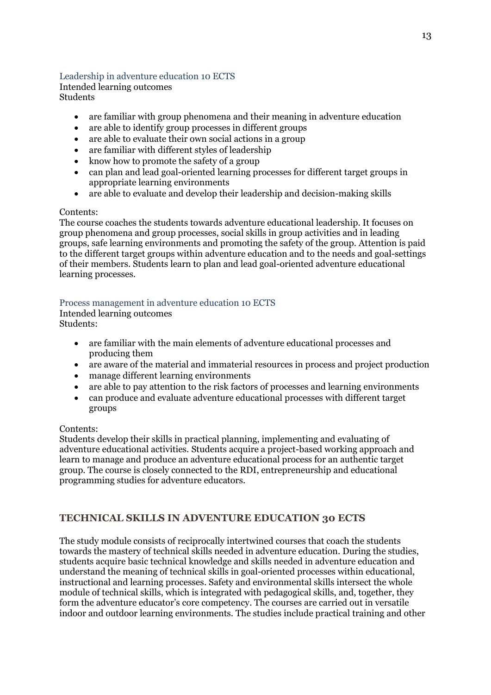# <span id="page-12-0"></span>Leadership in adventure education 10 ECTS

Intended learning outcomes Students

- are familiar with group phenomena and their meaning in adventure education
- are able to identify group processes in different groups
- are able to evaluate their own social actions in a group
- are familiar with different styles of leadership
- know how to promote the safety of a group
- can plan and lead goal-oriented learning processes for different target groups in appropriate learning environments
- are able to evaluate and develop their leadership and decision-making skills

# Contents:

The course coaches the students towards adventure educational leadership. It focuses on group phenomena and group processes, social skills in group activities and in leading groups, safe learning environments and promoting the safety of the group. Attention is paid to the different target groups within adventure education and to the needs and goal-settings of their members. Students learn to plan and lead goal-oriented adventure educational learning processes.

# <span id="page-12-1"></span>Process management in adventure education 10 ECTS

Intended learning outcomes

Students:

- are familiar with the main elements of adventure educational processes and producing them
- are aware of the material and immaterial resources in process and project production
- manage different learning environments
- are able to pay attention to the risk factors of processes and learning environments
- can produce and evaluate adventure educational processes with different target groups

# Contents:

Students develop their skills in practical planning, implementing and evaluating of adventure educational activities. Students acquire a project-based working approach and learn to manage and produce an adventure educational process for an authentic target group. The course is closely connected to the RDI, entrepreneurship and educational programming studies for adventure educators.

# <span id="page-12-2"></span>**TECHNICAL SKILLS IN ADVENTURE EDUCATION 30 ECTS**

The study module consists of reciprocally intertwined courses that coach the students towards the mastery of technical skills needed in adventure education. During the studies, students acquire basic technical knowledge and skills needed in adventure education and understand the meaning of technical skills in goal-oriented processes within educational, instructional and learning processes. Safety and environmental skills intersect the whole module of technical skills, which is integrated with pedagogical skills, and, together, they form the adventure educator's core competency. The courses are carried out in versatile indoor and outdoor learning environments. The studies include practical training and other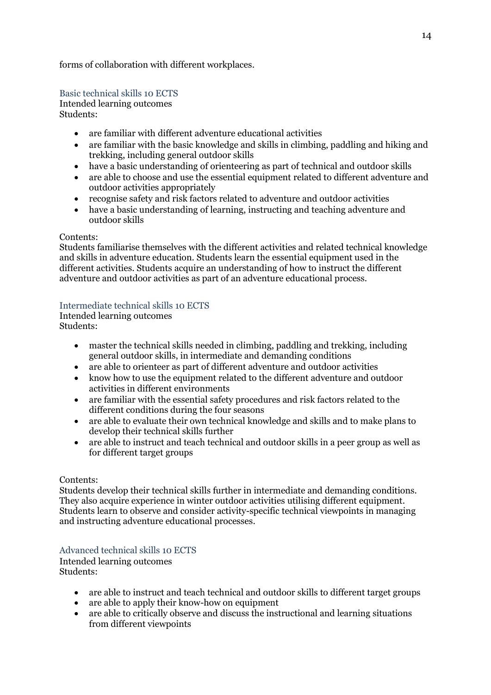forms of collaboration with different workplaces.

<span id="page-13-0"></span>Basic technical skills 10 ECTS

Intended learning outcomes Students:

- are familiar with different adventure educational activities
- are familiar with the basic knowledge and skills in climbing, paddling and hiking and trekking, including general outdoor skills
- have a basic understanding of orienteering as part of technical and outdoor skills
- are able to choose and use the essential equipment related to different adventure and outdoor activities appropriately
- recognise safety and risk factors related to adventure and outdoor activities
- have a basic understanding of learning, instructing and teaching adventure and outdoor skills

#### Contents:

Students familiarise themselves with the different activities and related technical knowledge and skills in adventure education. Students learn the essential equipment used in the different activities. Students acquire an understanding of how to instruct the different adventure and outdoor activities as part of an adventure educational process.

<span id="page-13-1"></span>Intermediate technical skills 10 ECTS

Intended learning outcomes Students:

- master the technical skills needed in climbing, paddling and trekking, including general outdoor skills, in intermediate and demanding conditions
- are able to orienteer as part of different adventure and outdoor activities
- know how to use the equipment related to the different adventure and outdoor activities in different environments
- are familiar with the essential safety procedures and risk factors related to the different conditions during the four seasons
- are able to evaluate their own technical knowledge and skills and to make plans to develop their technical skills further
- are able to instruct and teach technical and outdoor skills in a peer group as well as for different target groups

# Contents:

Students develop their technical skills further in intermediate and demanding conditions. They also acquire experience in winter outdoor activities utilising different equipment. Students learn to observe and consider activity-specific technical viewpoints in managing and instructing adventure educational processes.

# <span id="page-13-2"></span>Advanced technical skills 10 ECTS

Intended learning outcomes Students:

- are able to instruct and teach technical and outdoor skills to different target groups<br>• are able to apply their know-how on equipment
- are able to apply their know-how on equipment
- are able to critically observe and discuss the instructional and learning situations from different viewpoints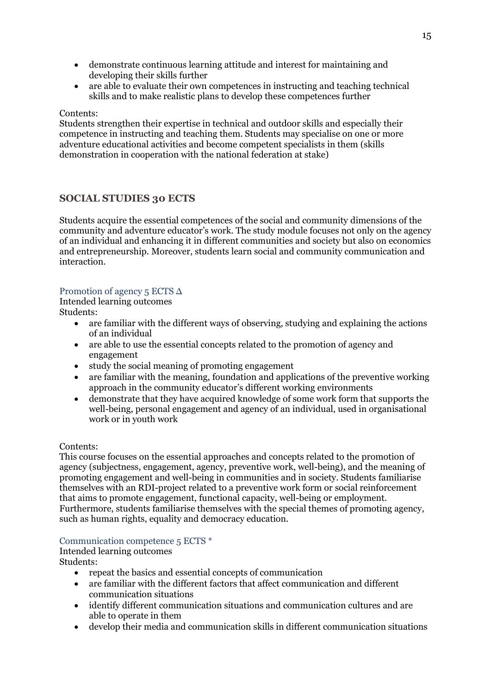- demonstrate continuous learning attitude and interest for maintaining and developing their skills further
- are able to evaluate their own competences in instructing and teaching technical skills and to make realistic plans to develop these competences further

Students strengthen their expertise in technical and outdoor skills and especially their competence in instructing and teaching them. Students may specialise on one or more adventure educational activities and become competent specialists in them (skills demonstration in cooperation with the national federation at stake)

# <span id="page-14-0"></span>**SOCIAL STUDIES 30 ECTS**

Students acquire the essential competences of the social and community dimensions of the community and adventure educator's work. The study module focuses not only on the agency of an individual and enhancing it in different communities and society but also on economics and entrepreneurship. Moreover, students learn social and community communication and interaction.

# <span id="page-14-1"></span>Promotion of agency 5 ECTS  $\Delta$

Intended learning outcomes

Students:

- are familiar with the different ways of observing, studying and explaining the actions of an individual
- are able to use the essential concepts related to the promotion of agency and engagement
- study the social meaning of promoting engagement
- are familiar with the meaning, foundation and applications of the preventive working approach in the community educator's different working environments
- demonstrate that they have acquired knowledge of some work form that supports the well-being, personal engagement and agency of an individual, used in organisational work or in youth work

#### Contents:

This course focuses on the essential approaches and concepts related to the promotion of agency (subjectness, engagement, agency, preventive work, well-being), and the meaning of promoting engagement and well-being in communities and in society. Students familiarise themselves with an RDI-project related to a preventive work form or social reinforcement that aims to promote engagement, functional capacity, well-being or employment. Furthermore, students familiarise themselves with the special themes of promoting agency, such as human rights, equality and democracy education.

# <span id="page-14-2"></span>Communication competence 5 ECTS \*

Intended learning outcomes Students:

- repeat the basics and essential concepts of communication
- are familiar with the different factors that affect communication and different communication situations
- identify different communication situations and communication cultures and are able to operate in them
- develop their media and communication skills in different communication situations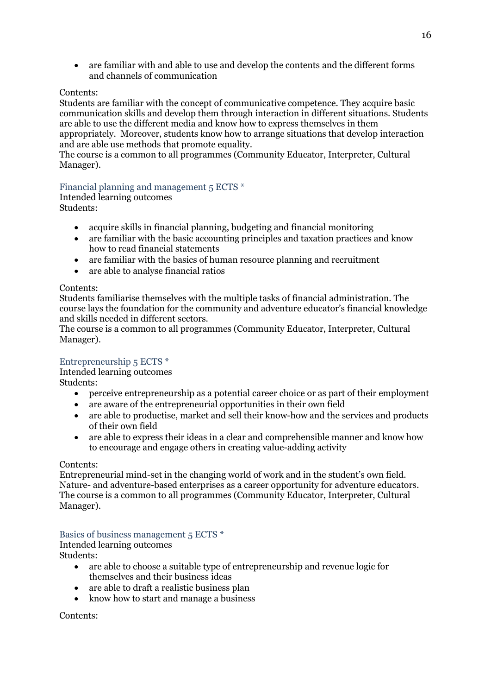are familiar with and able to use and develop the contents and the different forms and channels of communication

### Contents:

Students are familiar with the concept of communicative competence. They acquire basic communication skills and develop them through interaction in different situations. Students are able to use the different media and know how to express themselves in them appropriately. Moreover, students know how to arrange situations that develop interaction and are able use methods that promote equality.

The course is a common to all programmes (Community Educator, Interpreter, Cultural Manager).

#### <span id="page-15-0"></span>Financial planning and management 5 ECTS \*

Intended learning outcomes

Students:

- acquire skills in financial planning, budgeting and financial monitoring
- are familiar with the basic accounting principles and taxation practices and know how to read financial statements
- are familiar with the basics of human resource planning and recruitment
- are able to analyse financial ratios

#### Contents:

Students familiarise themselves with the multiple tasks of financial administration. The course lays the foundation for the community and adventure educator's financial knowledge and skills needed in different sectors.

The course is a common to all programmes (Community Educator, Interpreter, Cultural Manager).

# <span id="page-15-1"></span>Entrepreneurship 5 ECTS \*

Intended learning outcomes

Students:

- perceive entrepreneurship as a potential career choice or as part of their employment
- are aware of the entrepreneurial opportunities in their own field
- are able to productise, market and sell their know-how and the services and products of their own field
- are able to express their ideas in a clear and comprehensible manner and know how to encourage and engage others in creating value-adding activity

#### Contents:

Entrepreneurial mind-set in the changing world of work and in the student's own field. Nature- and adventure-based enterprises as a career opportunity for adventure educators. The course is a common to all programmes (Community Educator, Interpreter, Cultural Manager).

<span id="page-15-2"></span>Basics of business management 5 ECTS \*

Intended learning outcomes

Students:

- are able to choose a suitable type of entrepreneurship and revenue logic for themselves and their business ideas
- are able to draft a realistic business plan
- know how to start and manage a business

Contents: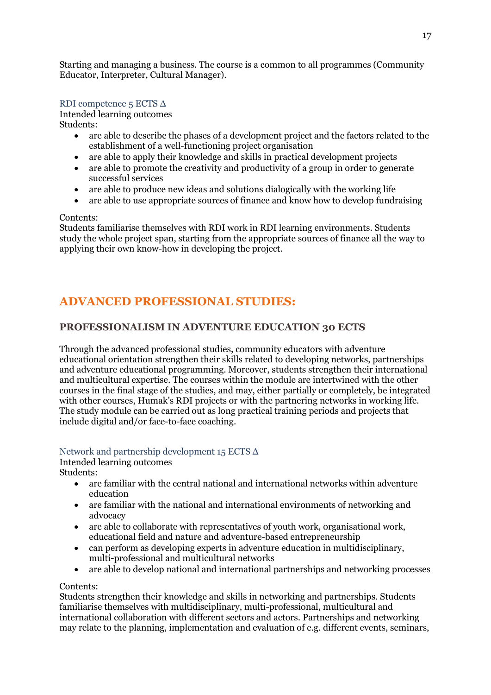Starting and managing a business. The course is a common to all programmes (Community Educator, Interpreter, Cultural Manager).

# <span id="page-16-0"></span>RDI competence 5 ECTS Δ

Intended learning outcomes Students:

- are able to describe the phases of a development project and the factors related to the establishment of a well-functioning project organisation
- are able to apply their knowledge and skills in practical development projects
- are able to promote the creativity and productivity of a group in order to generate successful services
- are able to produce new ideas and solutions dialogically with the working life
- are able to use appropriate sources of finance and know how to develop fundraising

# Contents:

Students familiarise themselves with RDI work in RDI learning environments. Students study the whole project span, starting from the appropriate sources of finance all the way to applying their own know-how in developing the project.

# <span id="page-16-1"></span>**ADVANCED PROFESSIONAL STUDIES:**

# <span id="page-16-2"></span>**PROFESSIONALISM IN ADVENTURE EDUCATION 30 ECTS**

Through the advanced professional studies, community educators with adventure educational orientation strengthen their skills related to developing networks, partnerships and adventure educational programming. Moreover, students strengthen their international and multicultural expertise. The courses within the module are intertwined with the other courses in the final stage of the studies, and may, either partially or completely, be integrated with other courses, Humak's RDI projects or with the partnering networks in working life. The study module can be carried out as long practical training periods and projects that include digital and/or face-to-face coaching.

# <span id="page-16-3"></span>Network and partnership development 15 ECTS Δ

Intended learning outcomes

Students:

- are familiar with the central national and international networks within adventure education
- are familiar with the national and international environments of networking and advocacy
- are able to collaborate with representatives of youth work, organisational work, educational field and nature and adventure-based entrepreneurship
- can perform as developing experts in adventure education in multidisciplinary, multi-professional and multicultural networks
- are able to develop national and international partnerships and networking processes

# Contents:

Students strengthen their knowledge and skills in networking and partnerships. Students familiarise themselves with multidisciplinary, multi-professional, multicultural and international collaboration with different sectors and actors. Partnerships and networking may relate to the planning, implementation and evaluation of e.g. different events, seminars,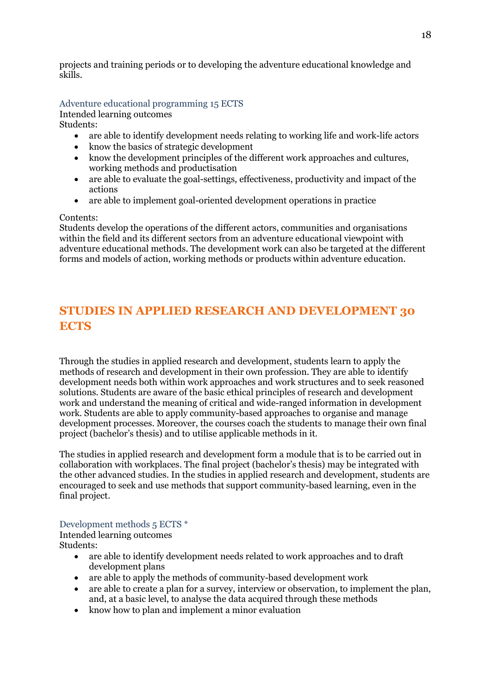projects and training periods or to developing the adventure educational knowledge and skills.

#### <span id="page-17-0"></span>Adventure educational programming 15 ECTS Intended learning outcomes Students:

- are able to identify development needs relating to working life and work-life actors
- know the basics of strategic development
- know the development principles of the different work approaches and cultures, working methods and productisation
- are able to evaluate the goal-settings, effectiveness, productivity and impact of the actions
- are able to implement goal-oriented development operations in practice

#### Contents:

Students develop the operations of the different actors, communities and organisations within the field and its different sectors from an adventure educational viewpoint with adventure educational methods. The development work can also be targeted at the different forms and models of action, working methods or products within adventure education.

# <span id="page-17-1"></span>**STUDIES IN APPLIED RESEARCH AND DEVELOPMENT 30 ECTS**

Through the studies in applied research and development, students learn to apply the methods of research and development in their own profession. They are able to identify development needs both within work approaches and work structures and to seek reasoned solutions. Students are aware of the basic ethical principles of research and development work and understand the meaning of critical and wide-ranged information in development work. Students are able to apply community-based approaches to organise and manage development processes. Moreover, the courses coach the students to manage their own final project (bachelor's thesis) and to utilise applicable methods in it.

The studies in applied research and development form a module that is to be carried out in collaboration with workplaces. The final project (bachelor's thesis) may be integrated with the other advanced studies. In the studies in applied research and development, students are encouraged to seek and use methods that support community-based learning, even in the final project.

#### <span id="page-17-2"></span>Development methods 5 ECTS \*

Intended learning outcomes Students:

- are able to identify development needs related to work approaches and to draft development plans
- are able to apply the methods of community-based development work
- are able to create a plan for a survey, interview or observation, to implement the plan, and, at a basic level, to analyse the data acquired through these methods
- know how to plan and implement a minor evaluation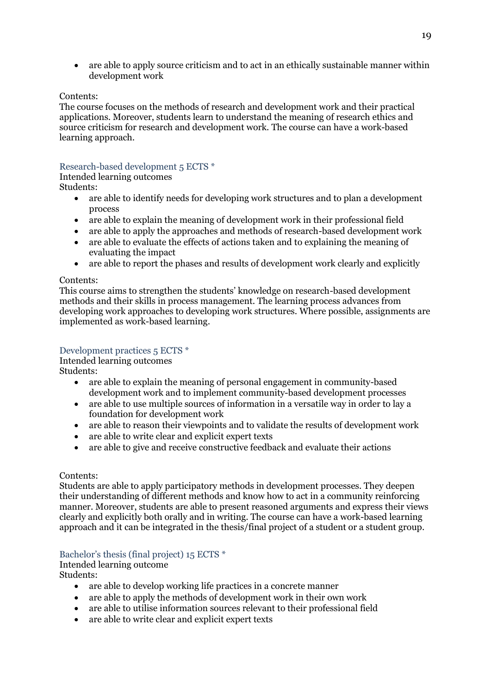are able to apply source criticism and to act in an ethically sustainable manner within development work

#### Contents:

The course focuses on the methods of research and development work and their practical applications. Moreover, students learn to understand the meaning of research ethics and source criticism for research and development work. The course can have a work-based learning approach.

### <span id="page-18-0"></span>Research-based development 5 ECTS \*

Intended learning outcomes Students:

- are able to identify needs for developing work structures and to plan a development process
- are able to explain the meaning of development work in their professional field
- are able to apply the approaches and methods of research-based development work
- are able to evaluate the effects of actions taken and to explaining the meaning of evaluating the impact
- are able to report the phases and results of development work clearly and explicitly

#### Contents:

This course aims to strengthen the students' knowledge on research-based development methods and their skills in process management. The learning process advances from developing work approaches to developing work structures. Where possible, assignments are implemented as work-based learning.

#### <span id="page-18-1"></span>Development practices 5 ECTS \*

Intended learning outcomes

Students:

- are able to explain the meaning of personal engagement in community-based development work and to implement community-based development processes
- are able to use multiple sources of information in a versatile way in order to lay a foundation for development work
- are able to reason their viewpoints and to validate the results of development work
- are able to write clear and explicit expert texts
- are able to give and receive constructive feedback and evaluate their actions

#### Contents:

Students are able to apply participatory methods in development processes. They deepen their understanding of different methods and know how to act in a community reinforcing manner. Moreover, students are able to present reasoned arguments and express their views clearly and explicitly both orally and in writing. The course can have a work-based learning approach and it can be integrated in the thesis/final project of a student or a student group.

# <span id="page-18-2"></span>Bachelor's thesis (final project) 15 ECTS \*

Intended learning outcome

Students:

- are able to develop working life practices in a concrete manner
- are able to apply the methods of development work in their own work
- are able to utilise information sources relevant to their professional field
- are able to write clear and explicit expert texts